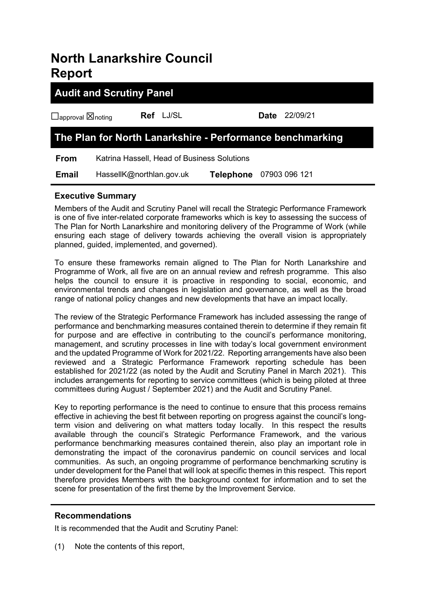# **North Lanarkshire Council Report**

# **Audit and Scrutiny Panel**

☐approval ☒noting **Ref** LJ/SL **Date** 22/09/21

# **The Plan for North Lanarkshire - Performance benchmarking**

**From** Katrina Hassell, Head of Business Solutions  **Email** HassellK@northlan.gov.uk **Telephone** 07903 096 121

## **Executive Summary**

Members of the Audit and Scrutiny Panel will recall the Strategic Performance Framework is one of five inter-related corporate frameworks which is key to assessing the success of The Plan for North Lanarkshire and monitoring delivery of the Programme of Work (while ensuring each stage of delivery towards achieving the overall vision is appropriately planned, guided, implemented, and governed).

To ensure these frameworks remain aligned to The Plan for North Lanarkshire and Programme of Work, all five are on an annual review and refresh programme. This also helps the council to ensure it is proactive in responding to social, economic, and environmental trends and changes in legislation and governance, as well as the broad range of national policy changes and new developments that have an impact locally.

The review of the Strategic Performance Framework has included assessing the range of performance and benchmarking measures contained therein to determine if they remain fit for purpose and are effective in contributing to the council's performance monitoring, management, and scrutiny processes in line with today's local government environment and the updated Programme of Work for 2021/22. Reporting arrangements have also been reviewed and a Strategic Performance Framework reporting schedule has been established for 2021/22 (as noted by the Audit and Scrutiny Panel in March 2021). This includes arrangements for reporting to service committees (which is being piloted at three committees during August / September 2021) and the Audit and Scrutiny Panel.

Key to reporting performance is the need to continue to ensure that this process remains effective in achieving the best fit between reporting on progress against the council's longterm vision and delivering on what matters today locally. In this respect the results available through the council's Strategic Performance Framework, and the various performance benchmarking measures contained therein, also play an important role in demonstrating the impact of the coronavirus pandemic on council services and local communities. As such, an ongoing programme of performance benchmarking scrutiny is under development for the Panel that will look at specific themes in this respect. This report therefore provides Members with the background context for information and to set the scene for presentation of the first theme by the Improvement Service.

### **Recommendations**

It is recommended that the Audit and Scrutiny Panel:

(1) Note the contents of this report,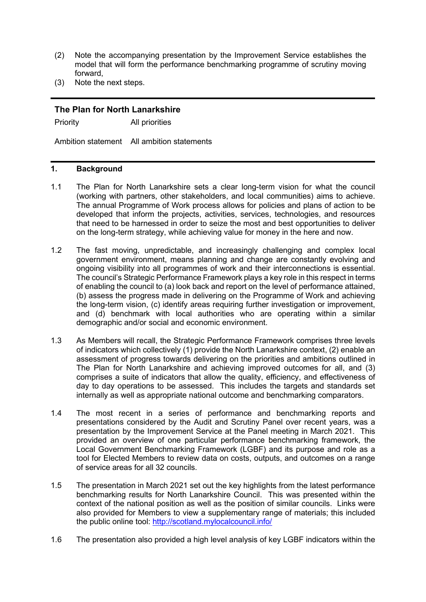- (2) Note the accompanying presentation by the Improvement Service establishes the model that will form the performance benchmarking programme of scrutiny moving forward,
- (3) Note the next steps.

#### **The Plan for North Lanarkshire**

Priority All priorities

Ambition statement All ambition statements

#### **1. Background**

- 1.1 The Plan for North Lanarkshire sets a clear long-term vision for what the council (working with partners, other stakeholders, and local communities) aims to achieve. The annual Programme of Work process allows for policies and plans of action to be developed that inform the projects, activities, services, technologies, and resources that need to be harnessed in order to seize the most and best opportunities to deliver on the long-term strategy, while achieving value for money in the here and now.
- 1.2 The fast moving, unpredictable, and increasingly challenging and complex local government environment, means planning and change are constantly evolving and ongoing visibility into all programmes of work and their interconnections is essential. The council's Strategic Performance Framework plays a key role in this respect in terms of enabling the council to (a) look back and report on the level of performance attained, (b) assess the progress made in delivering on the Programme of Work and achieving the long-term vision, (c) identify areas requiring further investigation or improvement, and (d) benchmark with local authorities who are operating within a similar demographic and/or social and economic environment.
- 1.3 As Members will recall, the Strategic Performance Framework comprises three levels of indicators which collectively (1) provide the North Lanarkshire context, (2) enable an assessment of progress towards delivering on the priorities and ambitions outlined in The Plan for North Lanarkshire and achieving improved outcomes for all, and (3) comprises a suite of indicators that allow the quality, efficiency, and effectiveness of day to day operations to be assessed. This includes the targets and standards set internally as well as appropriate national outcome and benchmarking comparators.
- 1.4 The most recent in a series of performance and benchmarking reports and presentations considered by the Audit and Scrutiny Panel over recent years, was a presentation by the Improvement Service at the Panel meeting in March 2021. This provided an overview of one particular performance benchmarking framework, the Local Government Benchmarking Framework (LGBF) and its purpose and role as a tool for Elected Members to review data on costs, outputs, and outcomes on a range of service areas for all 32 councils.
- 1.5 The presentation in March 2021 set out the key highlights from the latest performance benchmarking results for North Lanarkshire Council. This was presented within the context of the national position as well as the position of similar councils. Links were also provided for Members to view a supplementary range of materials; this included the public online tool:<http://scotland.mylocalcouncil.info/>
- 1.6 The presentation also provided a high level analysis of key LGBF indicators within the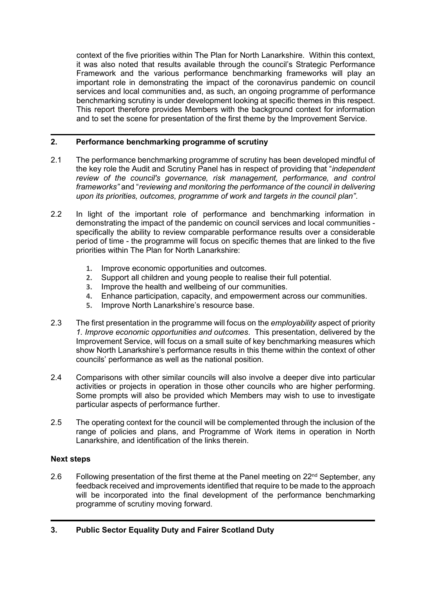context of the five priorities within The Plan for North Lanarkshire. Within this context, it was also noted that results available through the council's Strategic Performance Framework and the various performance benchmarking frameworks will play an important role in demonstrating the impact of the coronavirus pandemic on council services and local communities and, as such, an ongoing programme of performance benchmarking scrutiny is under development looking at specific themes in this respect. This report therefore provides Members with the background context for information and to set the scene for presentation of the first theme by the Improvement Service.

### **2. Performance benchmarking programme of scrutiny**

- 2.1 The performance benchmarking programme of scrutiny has been developed mindful of the key role the Audit and Scrutiny Panel has in respect of providing that "*independent review of the council's governance, risk management, performance, and control frameworks"* and "*reviewing and monitoring the performance of the council in delivering upon its priorities, outcomes, programme of work and targets in the council plan"*.
- 2.2 In light of the important role of performance and benchmarking information in demonstrating the impact of the pandemic on council services and local communities specifically the ability to review comparable performance results over a considerable period of time - the programme will focus on specific themes that are linked to the five priorities within The Plan for North Lanarkshire:
	- **1.** Improve economic opportunities and outcomes.
	- **2.** Support all children and young people to realise their full potential.
	- **3.** Improve the health and wellbeing of our communities.
	- **4.** Enhance participation, capacity, and empowerment across our communities.
	- **5.** Improve North Lanarkshire's resource base.
- 2.3 The first presentation in the programme will focus on the *employability* aspect of priority *1. Improve economic opportunities and outcomes*. This presentation, delivered by the Improvement Service, will focus on a small suite of key benchmarking measures which show North Lanarkshire's performance results in this theme within the context of other councils' performance as well as the national position.
- 2.4 Comparisons with other similar councils will also involve a deeper dive into particular activities or projects in operation in those other councils who are higher performing. Some prompts will also be provided which Members may wish to use to investigate particular aspects of performance further.
- 2.5 The operating context for the council will be complemented through the inclusion of the range of policies and plans, and Programme of Work items in operation in North Lanarkshire, and identification of the links therein.

#### **Next steps**

2.6 Following presentation of the first theme at the Panel meeting on  $22<sup>nd</sup>$  September, any feedback received and improvements identified that require to be made to the approach will be incorporated into the final development of the performance benchmarking programme of scrutiny moving forward.